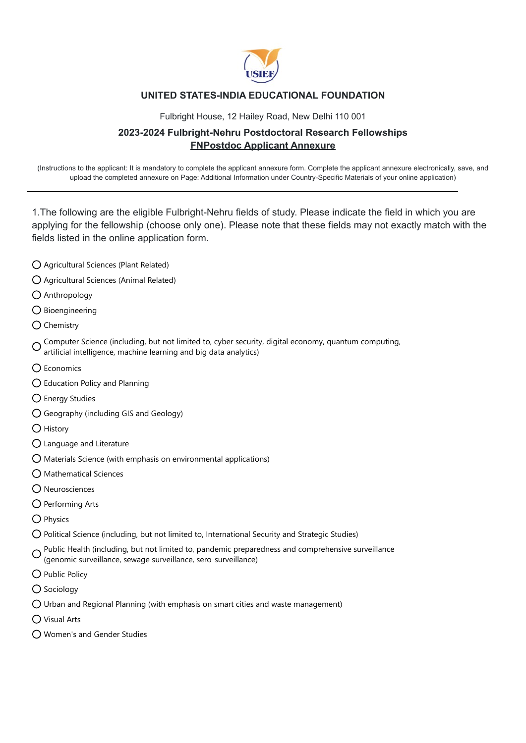

## **UNITED STATES-INDIA EDUCATIONAL FOUNDATION**

Fulbright House, 12 Hailey Road, New Delhi 110 001

## **2023-2024 Fulbright-Nehru Postdoctoral Research Fellowships FNPostdoc Applicant Annexure**

(Instructions to the applicant: It is mandatory to complete the applicant annexure form. Complete the applicant annexure electronically, save, and upload the completed annexure on Page: Additional Information under Country-Specific Materials of your online application)

1.The following are the eligible Fulbright-Nehru fields of study. Please indicate the field in which you are applying for the fellowship (choose only one). Please note that these fields may not exactly match with the fields listed in the online application form.

- Agricultural Sciences (Plant Related)
- Agricultural Sciences (Animal Related)
- Anthropology
- $O$  Bioengineering
- $\bigcap$  Chemistry

Computer Science (including, but not limited to, cyber security, digital economy, quantum computing, artificial intelligence, machine learning and big data analytics)

- O Economics
- Education Policy and Planning
- $\bigcirc$  Energy Studies
- Geography (including GIS and Geology)
- O History
- Language and Literature
- Materials Science (with emphasis on environmental applications)
- $\bigcap$  Mathematical Sciences
- Neurosciences
- $O$  Performing Arts
- O Physics
- Political Science (including, but not limited to, International Security and Strategic Studies)
- Public Health (including, but not limited to, pandemic preparedness and comprehensive surveillance
- (genomic surveillance, sewage surveillance, sero-surveillance)
- O Public Policy
- $\bigcirc$  Sociology
- Urban and Regional Planning (with emphasis on smart cities and waste management)
- Visual Arts
- Women's and Gender Studies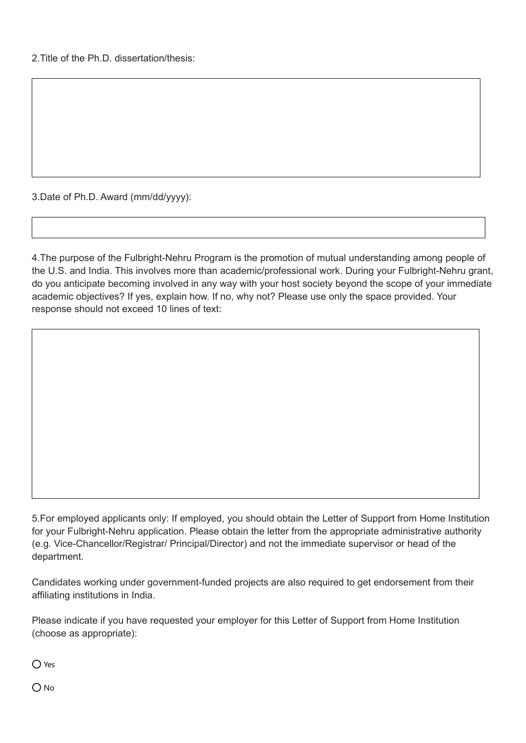2.Title of the Ph.D. dissertation/thesis:

3.Date of Ph.D. Award (mm/dd/yyyy):

4.The purpose of the Fulbright-Nehru Program is the promotion of mutual understanding among people of the U.S. and India. This involves more than academic/professional work. During your Fulbright-Nehru grant, do you anticipate becoming involved in any way with your host society beyond the scope of your immediate academic objectives? If yes, explain how. If no, why not? Please use only the space provided. Your response should not exceed 10 lines of text:

5.For employed applicants only: If employed, you should obtain the Letter of Support from Home Institution for your Fulbright-Nehru application. Please obtain the letter from the appropriate administrative authority (e.g. Vice-Chancellor/Registrar/ Principal/Director) and not the immediate supervisor or head of the department.

Candidates working under government-funded projects are also required to get endorsement from their affiliating institutions in India.

Please indicate if you have requested your employer for this Letter of Support from Home Institution (choose as appropriate):

 $\bigcap$  Yes

O No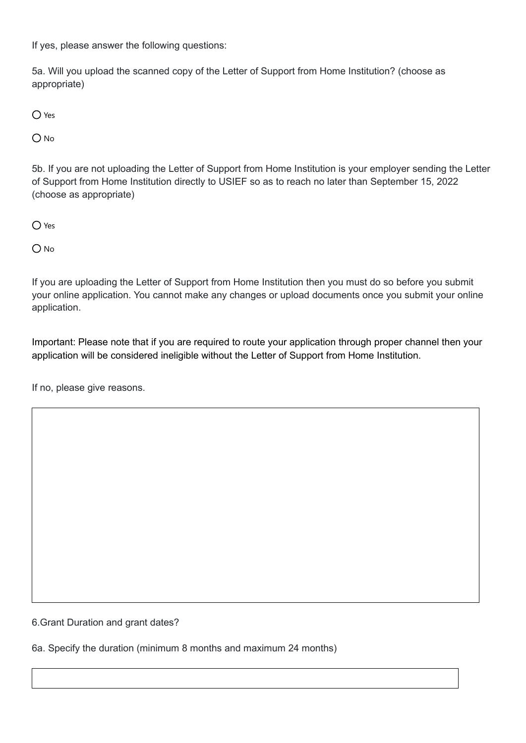If yes, please answer the following questions:

5a. Will you upload the scanned copy of the Letter of Support from Home Institution? (choose as appropriate)

 $O$  Yes

 $O$  No

5b. If you are not uploading the Letter of Support from Home Institution is your employer sending the Letter of Support from Home Institution directly to USIEF so as to reach no later than September 15, 2022 (choose as appropriate)

O Yes

 $O$  No

If you are uploading the Letter of Support from Home Institution then you must do so before you submit your online application. You cannot make any changes or upload documents once you submit your online application.

Important: Please note that if you are required to route your application through proper channel then your application will be considered ineligible without the Letter of Support from Home Institution.

 $|\mathord{\text{--}}|$ 

If no, please give reasons.

6.Grant Duration and grant dates?

6a. Specify the duration (minimum 8 months and maximum 24 months)